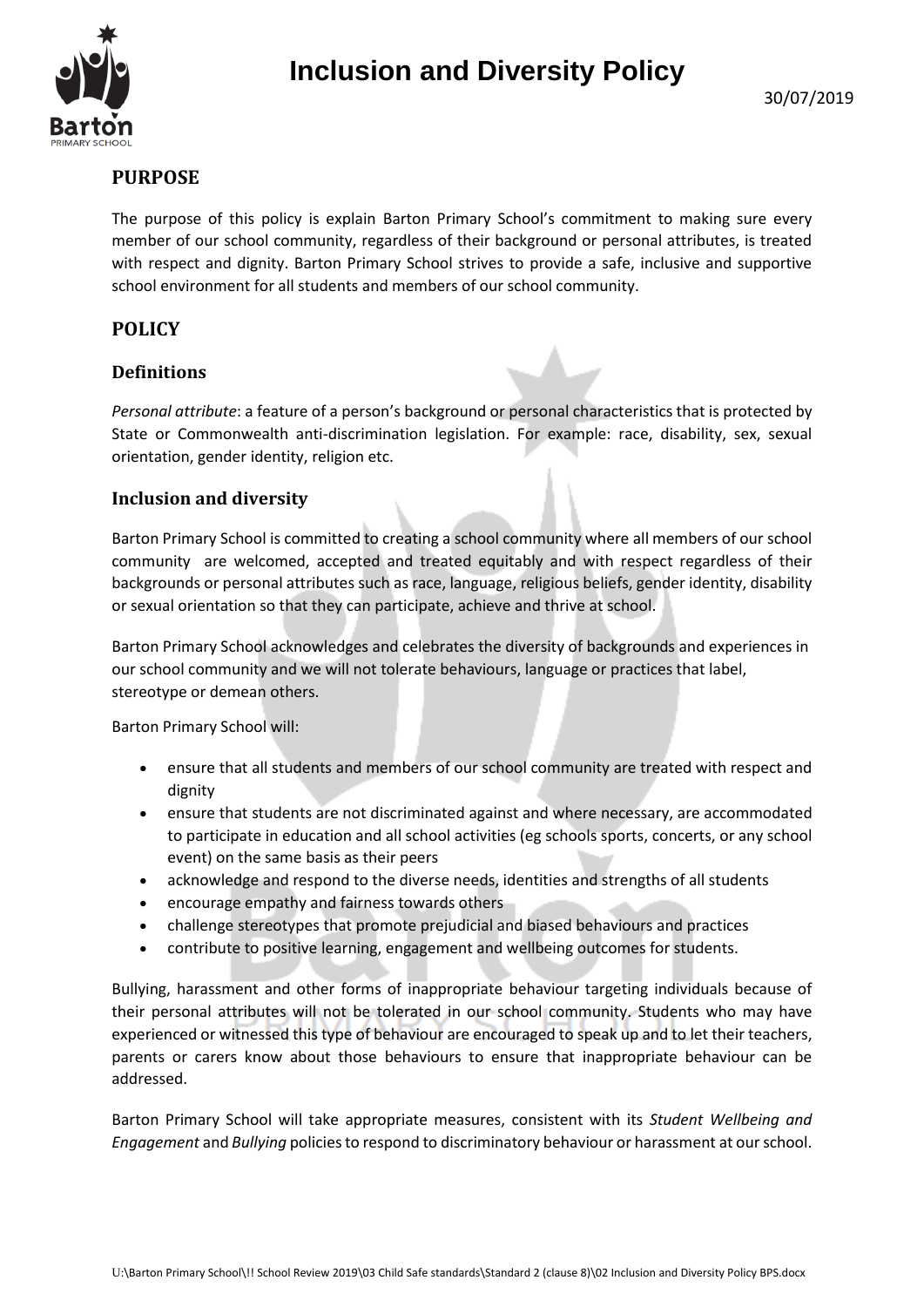



# **PURPOSE**

The purpose of this policy is explain Barton Primary School's commitment to making sure every member of our school community, regardless of their background or personal attributes, is treated with respect and dignity. Barton Primary School strives to provide a safe, inclusive and supportive school environment for all students and members of our school community.

## **POLICY**

### **Definitions**

*Personal attribute*: a feature of a person's background or personal characteristics that is protected by State or Commonwealth anti-discrimination legislation. For example: race, disability, sex, sexual orientation, gender identity, religion etc.

### **Inclusion and diversity**

Barton Primary School is committed to creating a school community where all members of our school community are welcomed, accepted and treated equitably and with respect regardless of their backgrounds or personal attributes such as race, language, religious beliefs, gender identity, disability or sexual orientation so that they can participate, achieve and thrive at school.

Barton Primary School acknowledges and celebrates the diversity of backgrounds and experiences in our school community and we will not tolerate behaviours, language or practices that label, stereotype or demean others.

Barton Primary School will:

- ensure that all students and members of our school community are treated with respect and dignity
- ensure that students are not discriminated against and where necessary, are accommodated to participate in education and all school activities (eg schools sports, concerts, or any school event) on the same basis as their peers
- acknowledge and respond to the diverse needs, identities and strengths of all students
- encourage empathy and fairness towards others
- challenge stereotypes that promote prejudicial and biased behaviours and practices
- contribute to positive learning, engagement and wellbeing outcomes for students.

Bullying, harassment and other forms of inappropriate behaviour targeting individuals because of their personal attributes will not be tolerated in our school community. Students who may have experienced or witnessed this type of behaviour are encouraged to speak up and to let their teachers, parents or carers know about those behaviours to ensure that inappropriate behaviour can be addressed.

Barton Primary School will take appropriate measures, consistent with its *Student Wellbeing and Engagement* and *Bullying* policies to respond to discriminatory behaviour or harassment at our school.